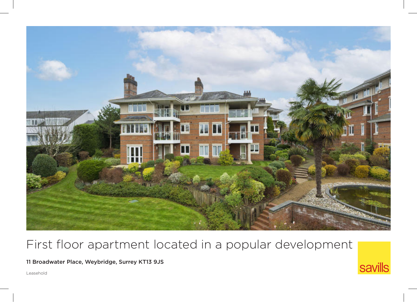

# First floor apartment located in a popular development

11 Broadwater Place, Weybridge, Surrey KT13 9JS

Leasehold

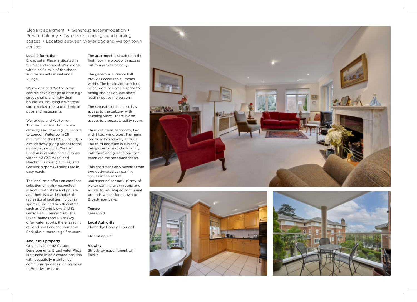Elegant apartment • Generous accommodation • Private balcony • Two secure underground parking spaces • Located between Weybridge and Walton town centres

#### **Local information**

Broadwater Place is situated in the Oatlands area of Weybridge, within half a mile of the shops and restaurants in Oatlands Village.

Weybridge and Walton town centres have a range of both high street chains and individual boutiques, including a Waitrose supermarket, plus a good mix of pubs and restaurants.

Weybridge and Walton-on-Thames mainline stations are close by and have regular service to London Waterloo in 28 minutes and the M25 (Junc. 10) is 3 miles away giving access to the motorway network. Central London is 21 miles and accessed via the A3 (2.5 miles) and Heathrow airport (13 miles) and Gatwick airport (21 miles) are in easy reach.

The local area offers an excellent selection of highly respected schools, both state and private, and there is a wide choice of recreational facilities including sports clubs and health centres such as a David Lloyd and St George's Hill Tennis Club. The River Thames and River Wey offer water sports, there is racing at Sandown Park and Kempton Park plus numerous golf courses.

# **About this property**

Originally built by Octagon Developments, Broadwater Place is situated in an elevated position with beautifully maintained communal gardens running down to Broadwater Lake.

The apartment is situated on the first floor the block with access out to a private balcony.

The generous entrance hall provides access to all rooms within. The bright and spacious living room has ample space for dining and has double doors leading out to the balcony.

The separate kitchen also has access to the balcony with stunning views. There is also access to a separate utility room.

There are three bedrooms, two with fitted wardrobes. The main bedroom has a lovely en suite. The third bedroom is currently being used as a study. A family bathroom and guest cloakroom complete the accommodation.

This apartment also benefits from two designated car parking spaces in the secure underground car park, plenty of visitor parking over ground and access to landscaped communal grounds which slope down to Broadwater Lake.

# **Tenure**

Leasehold

### **Local Authority**

Elmbridge Borough Council

EPC rating = C

#### **Viewing**

Strictly by appointment with Savills





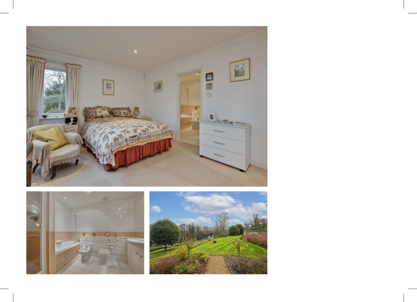